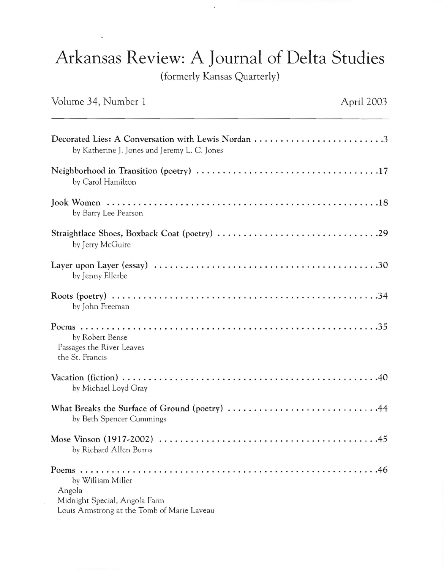## Arkansas Review: A Journal of Delta Studies

(formerly Kansas Quarterly)

## Volume 34, Number 1

 $\bar{z}$ 

 $\overline{\phantom{a}}$ 

| Decorated Lies: A Conversation with Lewis Nordan 3<br>by Katherine J. Jones and Jeremy L. C. Jones          |
|-------------------------------------------------------------------------------------------------------------|
| by Carol Hamilton                                                                                           |
| by Barry Lee Pearson                                                                                        |
| by Jerry McGuire                                                                                            |
| by Jenny Ellerbe                                                                                            |
| by John Freeman                                                                                             |
| by Robert Bense<br>Passages the River Leaves<br>the St. Francis                                             |
| by Michael Loyd Gray                                                                                        |
| What Breaks the Surface of Ground (poetry) 44<br>by Beth Spencer Cummings                                   |
| by Richard Allen Burns                                                                                      |
| by William Miller<br>Angola<br>Midnight Special, Angola Farm<br>Louis Armstrong at the Tomb of Marie Laveau |